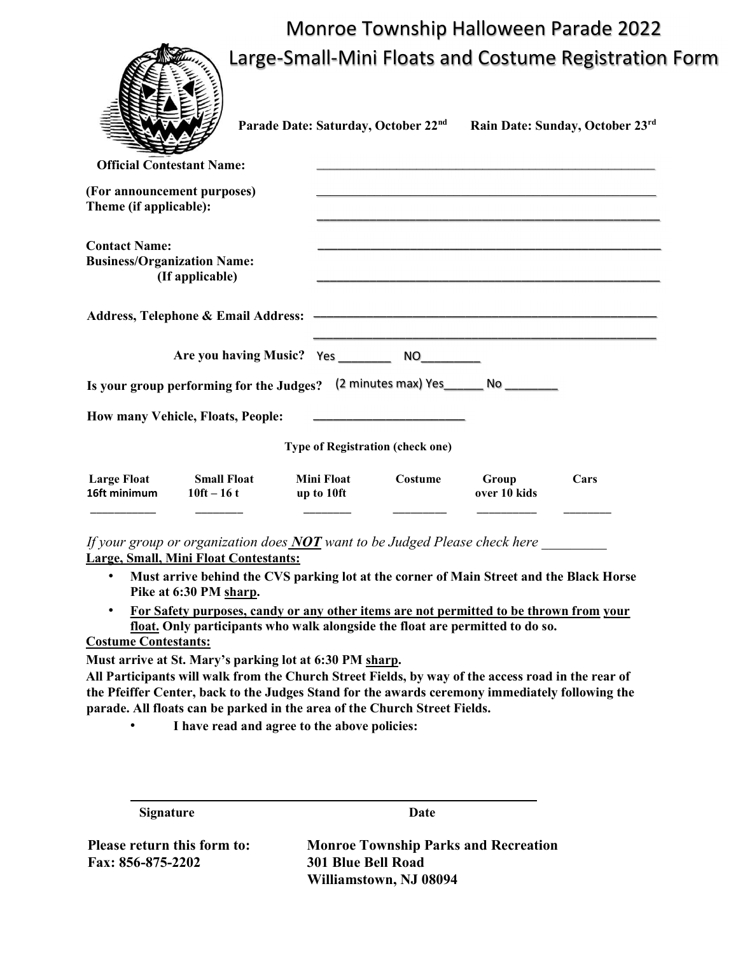## Monroe Township Halloween Parade 2022 Large-Small-Mini Floats and Costume Registration Form

|                                                                                                            | Large-Small-Mini Floats and Costume Registratior                                                                     |                       |                                 |
|------------------------------------------------------------------------------------------------------------|----------------------------------------------------------------------------------------------------------------------|-----------------------|---------------------------------|
|                                                                                                            | Parade Date: Saturday, October 22nd                                                                                  |                       | Rain Date: Sunday, October 23rd |
| <b>Official Contestant Name:</b><br>(For announcement purposes)<br>Theme (if applicable):                  | <u> 1989 - Johann John Harry Harry Harry Harry Harry Harry Harry Harry Harry Harry Harry Harry Harry Harry Harry</u> |                       |                                 |
| <b>Contact Name:</b><br><b>Business/Organization Name:</b><br>(If applicable)                              |                                                                                                                      |                       |                                 |
|                                                                                                            |                                                                                                                      |                       |                                 |
|                                                                                                            |                                                                                                                      |                       |                                 |
| Is your group performing for the Judges?                                                                   | (2 minutes max) Yes________ No _________                                                                             |                       |                                 |
| How many Vehicle, Floats, People:                                                                          | <u> 1990 - Johann Marie Barn, mars ann an t-</u>                                                                     |                       |                                 |
|                                                                                                            | <b>Type of Registration (check one)</b>                                                                              |                       |                                 |
| <b>Large Float</b><br><b>Small Float</b><br><b>Mini Float</b><br>10ft $-16t$<br>16ft minimum<br>up to 10ft | Costume                                                                                                              | Group<br>over 10 kids | Cars                            |

If your group or organization does  $NOT$  want to be Judged Please check here Large, Small, Mini Float Contestants:

- Must arrive behind the CVS parking lot at the corner of Main Street and the Black Horse Pike at 6:30 PM sharp.
- For Safety purposes, candy or any other items are not permitted to be thrown from your float. Only participants who walk alongside the float are permitted to do so.

Costume Contestants:

 $\sqrt{2}$ 

Must arrive at St. Mary's parking lot at 6:30 PM sharp.

All Participants will walk from the Church Street Fields, by way of the access road in the rear of the Pfeiffer Center, back to the Judges Stand for the awards ceremony immediately following the parade. All floats can be parked in the area of the Church Street Fields.

I have read and agree to the above policies:

| <b>Signature</b>            | Date                                        |
|-----------------------------|---------------------------------------------|
| Please return this form to: | <b>Monroe Township Parks and Recreation</b> |
| <b>Fax: 856-875-2202</b>    | <b>301 Blue Bell Road</b>                   |
|                             | Williamstown, NJ 08094                      |